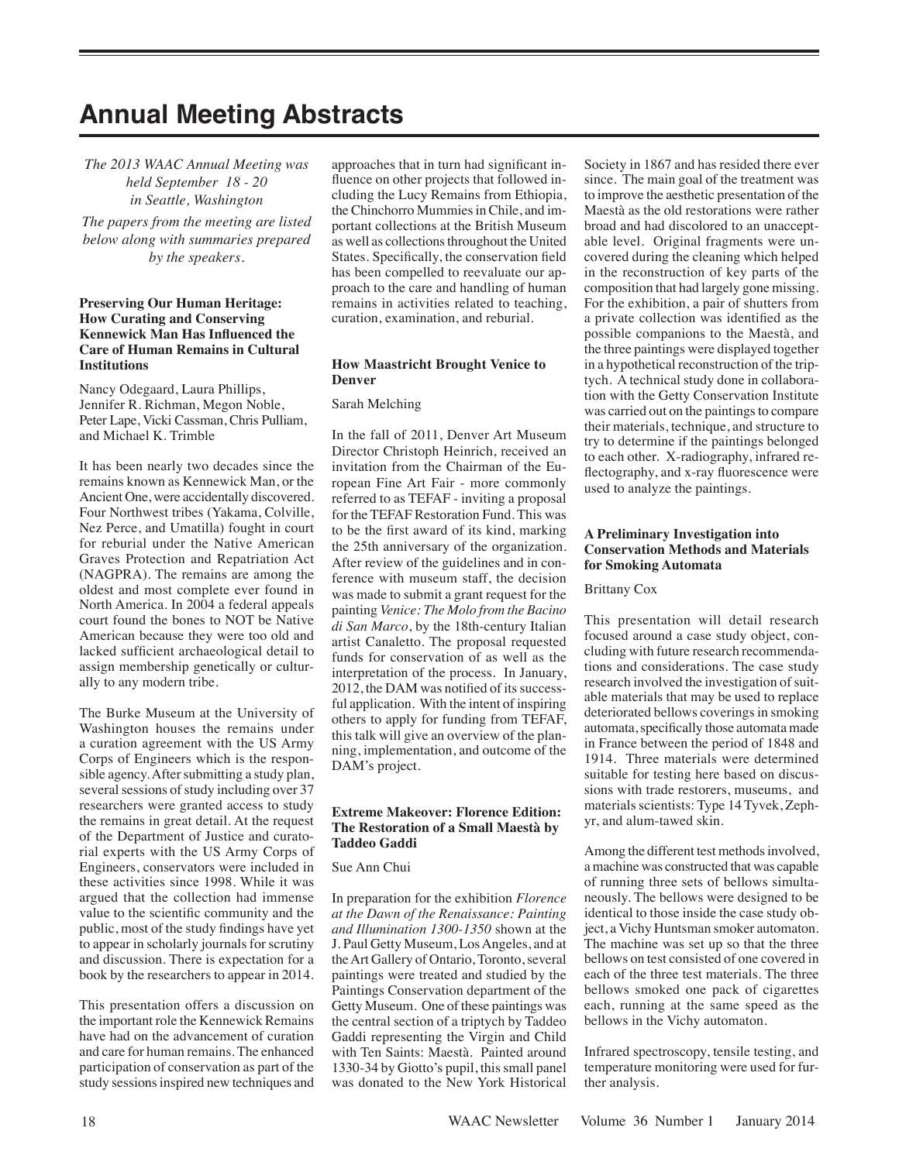# **Annual Meeting Abstracts**

*The 2013 WAAC Annual Meeting was held September 18 - 20 in Seattle, Washington* 

*The papers from the meeting are listed below along with summaries prepared by the speakers.*

#### **Preserving Our Human Heritage: How Curating and Conserving Kennewick Man Has Influenced the Care of Human Remains in Cultural Institutions**

Nancy Odegaard, Laura Phillips, Jennifer R. Richman, Megon Noble, Peter Lape, Vicki Cassman, Chris Pulliam, and Michael K. Trimble

It has been nearly two decades since the remains known as Kennewick Man, or the Ancient One, were accidentally discovered. Four Northwest tribes (Yakama, Colville, Nez Perce, and Umatilla) fought in court for reburial under the Native American Graves Protection and Repatriation Act (NAGPRA). The remains are among the oldest and most complete ever found in North America. In 2004 a federal appeals court found the bones to NOT be Native American because they were too old and lacked sufficient archaeological detail to assign membership genetically or culturally to any modern tribe.

The Burke Museum at the University of Washington houses the remains under a curation agreement with the US Army Corps of Engineers which is the responsible agency. After submitting a study plan, several sessions of study including over 37 researchers were granted access to study the remains in great detail. At the request of the Department of Justice and curatorial experts with the US Army Corps of Engineers, conservators were included in these activities since 1998. While it was argued that the collection had immense value to the scientific community and the public, most of the study findings have yet to appear in scholarly journals for scrutiny and discussion. There is expectation for a book by the researchers to appear in 2014.

This presentation offers a discussion on the important role the Kennewick Remains have had on the advancement of curation and care for human remains. The enhanced participation of conservation as part of the study sessions inspired new techniques and

approaches that in turn had significant influence on other projects that followed including the Lucy Remains from Ethiopia, the Chinchorro Mummies in Chile, and important collections at the British Museum as well as collections throughout the United States. Specifically, the conservation field has been compelled to reevaluate our approach to the care and handling of human remains in activities related to teaching, curation, examination, and reburial.

#### **How Maastricht Brought Venice to Denver**

#### Sarah Melching

In the fall of 2011, Denver Art Museum Director Christoph Heinrich, received an invitation from the Chairman of the European Fine Art Fair - more commonly referred to as TEFAF - inviting a proposal for the TEFAF Restoration Fund. This was to be the first award of its kind, marking the 25th anniversary of the organization. After review of the guidelines and in conference with museum staff, the decision was made to submit a grant request for the painting *Venice: The Molo from the Bacino di San Marco*, by the 18th-century Italian artist Canaletto. The proposal requested funds for conservation of as well as the interpretation of the process. In January, 2012, the DAM was notified of its successful application. With the intent of inspiring others to apply for funding from TEFAF, this talk will give an overview of the planning, implementation, and outcome of the DAM's project.

#### **Extreme Makeover: Florence Edition: The Restoration of a Small Maestà by Taddeo Gaddi**

#### Sue Ann Chui

In preparation for the exhibition *Florence at the Dawn of the Renaissance: Painting and Illumination 1300-1350* shown at the J. Paul Getty Museum, Los Angeles, and at the Art Gallery of Ontario, Toronto, several paintings were treated and studied by the Paintings Conservation department of the Getty Museum. One of these paintings was the central section of a triptych by Taddeo Gaddi representing the Virgin and Child with Ten Saints: Maestà. Painted around 1330-34 by Giotto's pupil, this small panel was donated to the New York Historical Society in 1867 and has resided there ever since. The main goal of the treatment was to improve the aesthetic presentation of the Maestà as the old restorations were rather broad and had discolored to an unacceptable level. Original fragments were uncovered during the cleaning which helped in the reconstruction of key parts of the composition that had largely gone missing. For the exhibition, a pair of shutters from a private collection was identified as the possible companions to the Maestà, and the three paintings were displayed together in a hypothetical reconstruction of the triptych. A technical study done in collaboration with the Getty Conservation Institute was carried out on the paintings to compare their materials, technique, and structure to try to determine if the paintings belonged to each other. X-radiography, infrared reflectography, and x-ray fluorescence were used to analyze the paintings.

#### **A Preliminary Investigation into Conservation Methods and Materials for Smoking Automata**

#### Brittany Cox

This presentation will detail research focused around a case study object, concluding with future research recommendations and considerations. The case study research involved the investigation of suitable materials that may be used to replace deteriorated bellows coverings in smoking automata, specifically those automata made in France between the period of 1848 and 1914. Three materials were determined suitable for testing here based on discussions with trade restorers, museums, and materials scientists: Type 14 Tyvek, Zephyr, and alum-tawed skin.

Among the different test methods involved, a machine was constructed that was capable of running three sets of bellows simultaneously. The bellows were designed to be identical to those inside the case study object, a Vichy Huntsman smoker automaton. The machine was set up so that the three bellows on test consisted of one covered in each of the three test materials. The three bellows smoked one pack of cigarettes each, running at the same speed as the bellows in the Vichy automaton.

Infrared spectroscopy, tensile testing, and temperature monitoring were used for further analysis.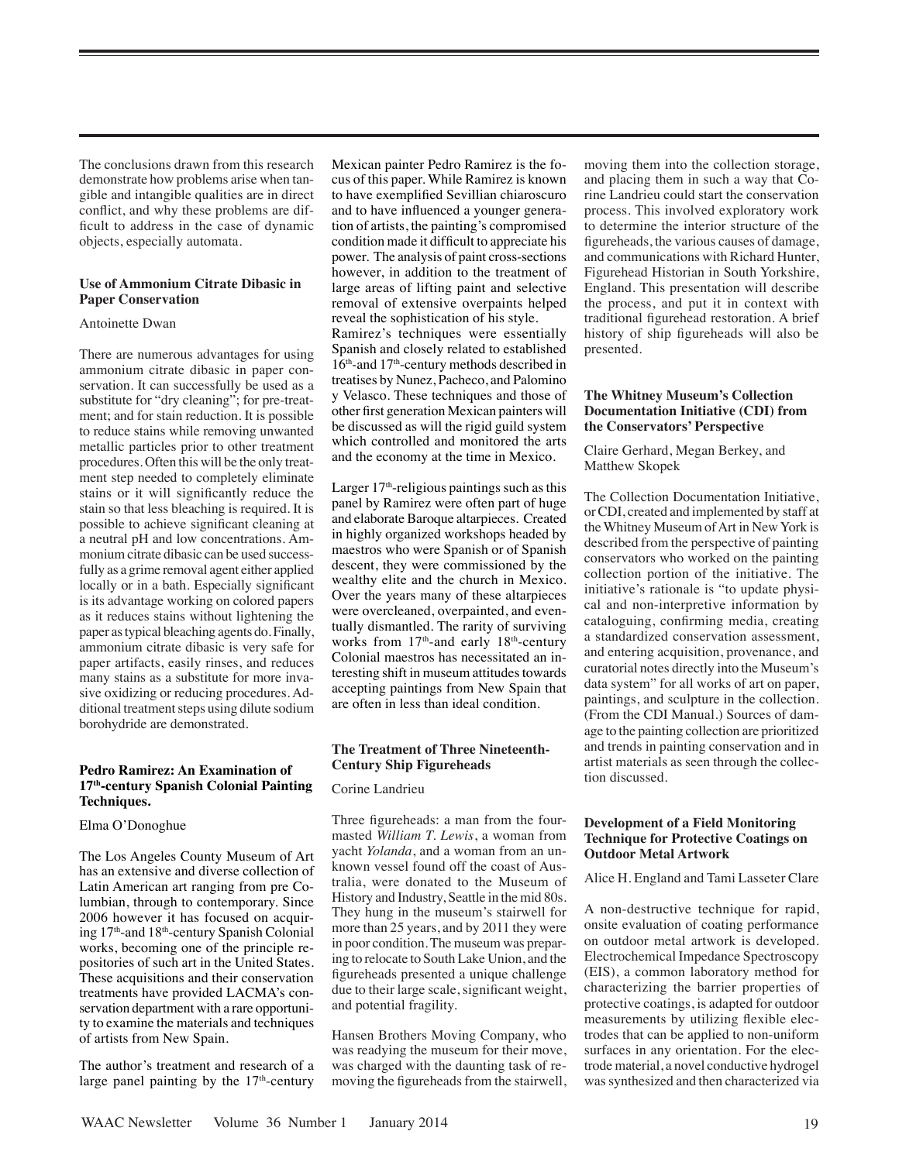The conclusions drawn from this research demonstrate how problems arise when tangible and intangible qualities are in direct conflict, and why these problems are difficult to address in the case of dynamic objects, especially automata.

#### **Use of Ammonium Citrate Dibasic in Paper Conservation**

#### Antoinette Dwan

There are numerous advantages for using ammonium citrate dibasic in paper conservation. It can successfully be used as a substitute for "dry cleaning"; for pre-treatment; and for stain reduction. It is possible to reduce stains while removing unwanted metallic particles prior to other treatment procedures. Often this will be the only treatment step needed to completely eliminate stains or it will significantly reduce the stain so that less bleaching is required. It is possible to achieve significant cleaning at a neutral pH and low concentrations. Ammonium citrate dibasic can be used successfully as a grime removal agent either applied locally or in a bath. Especially significant is its advantage working on colored papers as it reduces stains without lightening the paper as typical bleaching agents do. Finally, ammonium citrate dibasic is very safe for paper artifacts, easily rinses, and reduces many stains as a substitute for more invasive oxidizing or reducing procedures. Additional treatment steps using dilute sodium borohydride are demonstrated.

#### **Pedro Ramirez: An Examination of 17th-century Spanish Colonial Painting Techniques.**

#### Elma O'Donoghue

The Los Angeles County Museum of Art has an extensive and diverse collection of Latin American art ranging from pre Columbian, through to contemporary. Since 2006 however it has focused on acquiring 17th-and 18th-century Spanish Colonial works, becoming one of the principle repositories of such art in the United States. These acquisitions and their conservation treatments have provided LACMA's conservation department with a rare opportunity to examine the materials and techniques of artists from New Spain.

The author's treatment and research of a large panel painting by the 17<sup>th</sup>-century Mexican painter Pedro Ramirez is the focus of this paper. While Ramirez is known to have exemplified Sevillian chiaroscuro and to have influenced a younger generation of artists, the painting's compromised condition made it difficult to appreciate his power. The analysis of paint cross-sections however, in addition to the treatment of large areas of lifting paint and selective removal of extensive overpaints helped reveal the sophistication of his style. Ramirez's techniques were essentially Spanish and closely related to established 16th-and 17th-century methods described in treatises by Nunez, Pacheco, and Palomino y Velasco. These techniques and those of other first generation Mexican painters will be discussed as will the rigid guild system which controlled and monitored the arts and the economy at the time in Mexico.

Larger 17<sup>th</sup>-religious paintings such as this panel by Ramirez were often part of huge and elaborate Baroque altarpieces. Created in highly organized workshops headed by maestros who were Spanish or of Spanish descent, they were commissioned by the wealthy elite and the church in Mexico. Over the years many of these altarpieces were overcleaned, overpainted, and eventually dismantled. The rarity of surviving works from  $17<sup>th</sup>$ -and early  $18<sup>th</sup>$ -century Colonial maestros has necessitated an interesting shift in museum attitudes towards accepting paintings from New Spain that are often in less than ideal condition.

#### **The Treatment of Three Nineteenth-Century Ship Figureheads**

#### Corine Landrieu

Three figureheads: a man from the fourmasted *William T. Lewis*, a woman from yacht *Yolanda*, and a woman from an unknown vessel found off the coast of Australia, were donated to the Museum of History and Industry, Seattle in the mid 80s. They hung in the museum's stairwell for more than 25 years, and by 2011 they were in poor condition. The museum was preparing to relocate to South Lake Union, and the figureheads presented a unique challenge due to their large scale, significant weight, and potential fragility.

Hansen Brothers Moving Company, who was readying the museum for their move, was charged with the daunting task of removing the figureheads from the stairwell, moving them into the collection storage, and placing them in such a way that Corine Landrieu could start the conservation process. This involved exploratory work to determine the interior structure of the figureheads, the various causes of damage, and communications with Richard Hunter, Figurehead Historian in South Yorkshire, England. This presentation will describe the process, and put it in context with traditional figurehead restoration. A brief history of ship figureheads will also be presented.

#### **The Whitney Museum's Collection Documentation Initiative (CDI) from the Conservators' Perspective**

Claire Gerhard, Megan Berkey, and Matthew Skopek

The Collection Documentation Initiative, or CDI, created and implemented by staff at the Whitney Museum of Art in New York is described from the perspective of painting conservators who worked on the painting collection portion of the initiative. The initiative's rationale is "to update physical and non-interpretive information by cataloguing, confirming media, creating a standardized conservation assessment, and entering acquisition, provenance, and curatorial notes directly into the Museum's data system" for all works of art on paper, paintings, and sculpture in the collection. (From the CDI Manual.) Sources of damage to the painting collection are prioritized and trends in painting conservation and in artist materials as seen through the collection discussed.

#### **Development of a Field Monitoring Technique for Protective Coatings on Outdoor Metal Artwork**

Alice H. England and Tami Lasseter Clare

A non-destructive technique for rapid, onsite evaluation of coating performance on outdoor metal artwork is developed. Electrochemical Impedance Spectroscopy (EIS), a common laboratory method for characterizing the barrier properties of protective coatings, is adapted for outdoor measurements by utilizing flexible electrodes that can be applied to non-uniform surfaces in any orientation. For the electrode material, a novel conductive hydrogel was synthesized and then characterized via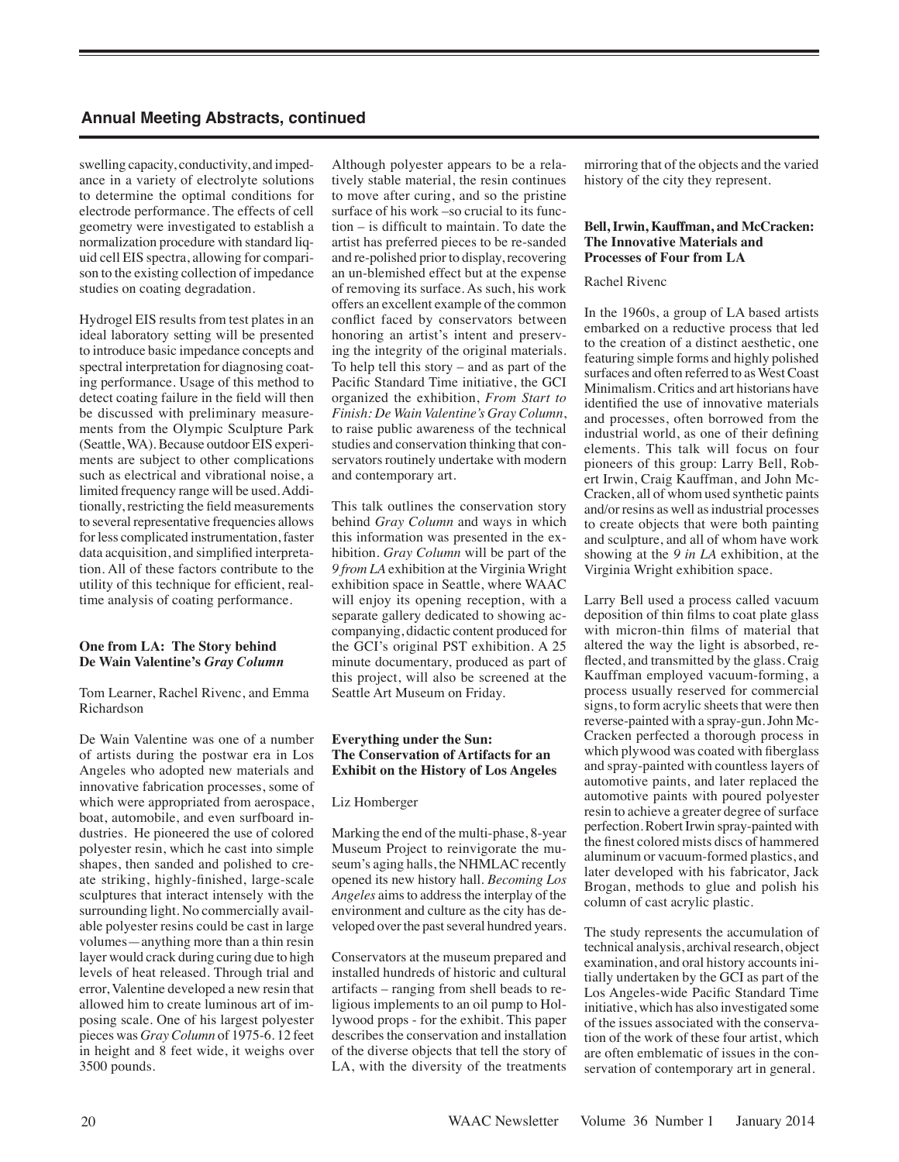swelling capacity, conductivity, and impedance in a variety of electrolyte solutions to determine the optimal conditions for electrode performance. The effects of cell geometry were investigated to establish a normalization procedure with standard liquid cell EIS spectra, allowing for comparison to the existing collection of impedance studies on coating degradation.

Hydrogel EIS results from test plates in an ideal laboratory setting will be presented to introduce basic impedance concepts and spectral interpretation for diagnosing coating performance. Usage of this method to detect coating failure in the field will then be discussed with preliminary measurements from the Olympic Sculpture Park (Seattle, WA). Because outdoor EIS experiments are subject to other complications such as electrical and vibrational noise, a limited frequency range will be used. Additionally, restricting the field measurements to several representative frequencies allows for less complicated instrumentation, faster data acquisition, and simplified interpretation. All of these factors contribute to the utility of this technique for efficient, realtime analysis of coating performance.

#### **One from LA: The Story behind De Wain Valentine's** *Gray Column*

Tom Learner, Rachel Rivenc, and Emma Richardson

De Wain Valentine was one of a number of artists during the postwar era in Los Angeles who adopted new materials and innovative fabrication processes, some of which were appropriated from aerospace. boat, automobile, and even surfboard industries. He pioneered the use of colored polyester resin, which he cast into simple shapes, then sanded and polished to create striking, highly-finished, large-scale sculptures that interact intensely with the surrounding light. No commercially available polyester resins could be cast in large volumes—anything more than a thin resin layer would crack during curing due to high levels of heat released. Through trial and error, Valentine developed a new resin that allowed him to create luminous art of imposing scale. One of his largest polyester pieces was *Gray Column* of 1975-6. 12 feet in height and 8 feet wide, it weighs over 3500 pounds.

Although polyester appears to be a relatively stable material, the resin continues to move after curing, and so the pristine surface of his work –so crucial to its function – is difficult to maintain. To date the artist has preferred pieces to be re-sanded and re-polished prior to display, recovering an un-blemished effect but at the expense of removing its surface. As such, his work offers an excellent example of the common conflict faced by conservators between honoring an artist's intent and preserving the integrity of the original materials. To help tell this story – and as part of the Pacific Standard Time initiative, the GCI organized the exhibition, *From Start to Finish: De Wain Valentine's Gray Column*, to raise public awareness of the technical studies and conservation thinking that conservators routinely undertake with modern and contemporary art.

This talk outlines the conservation story behind *Gray Column* and ways in which this information was presented in the exhibition. *Gray Column* will be part of the *9 from LA* exhibition at the Virginia Wright exhibition space in Seattle, where WAAC will enjoy its opening reception, with a separate gallery dedicated to showing accompanying, didactic content produced for the GCI's original PST exhibition. A 25 minute documentary, produced as part of this project, will also be screened at the Seattle Art Museum on Friday.

#### **Everything under the Sun: The Conservation of Artifacts for an Exhibit on the History of Los Angeles**

#### Liz Homberger

Marking the end of the multi-phase, 8-year Museum Project to reinvigorate the museum's aging halls, the NHMLAC recently opened its new history hall. *Becoming Los Angeles* aims to address the interplay of the environment and culture as the city has developed over the past several hundred years.

Conservators at the museum prepared and installed hundreds of historic and cultural artifacts – ranging from shell beads to religious implements to an oil pump to Hollywood props - for the exhibit. This paper describes the conservation and installation of the diverse objects that tell the story of LA, with the diversity of the treatments mirroring that of the objects and the varied history of the city they represent.

#### **Bell, Irwin, Kauffman, and McCracken: The Innovative Materials and Processes of Four from LA**

#### Rachel Rivenc

In the 1960s, a group of LA based artists embarked on a reductive process that led to the creation of a distinct aesthetic, one featuring simple forms and highly polished surfaces and often referred to as West Coast Minimalism. Critics and art historians have identified the use of innovative materials and processes, often borrowed from the industrial world, as one of their defining elements. This talk will focus on four pioneers of this group: Larry Bell, Robert Irwin, Craig Kauffman, and John Mc-Cracken, all of whom used synthetic paints and/or resins as well as industrial processes to create objects that were both painting and sculpture, and all of whom have work showing at the *9 in LA* exhibition, at the Virginia Wright exhibition space.

Larry Bell used a process called vacuum deposition of thin films to coat plate glass with micron-thin films of material that altered the way the light is absorbed, reflected, and transmitted by the glass. Craig Kauffman employed vacuum-forming, a process usually reserved for commercial signs, to form acrylic sheets that were then reverse-painted with a spray-gun. John Mc-Cracken perfected a thorough process in which plywood was coated with fiberglass and spray-painted with countless layers of automotive paints, and later replaced the automotive paints with poured polyester resin to achieve a greater degree of surface perfection. Robert Irwin spray-painted with the finest colored mists discs of hammered aluminum or vacuum-formed plastics, and later developed with his fabricator, Jack Brogan, methods to glue and polish his column of cast acrylic plastic.

The study represents the accumulation of technical analysis, archival research, object examination, and oral history accounts initially undertaken by the GCI as part of the Los Angeles-wide Pacific Standard Time initiative, which has also investigated some of the issues associated with the conservation of the work of these four artist, which are often emblematic of issues in the conservation of contemporary art in general.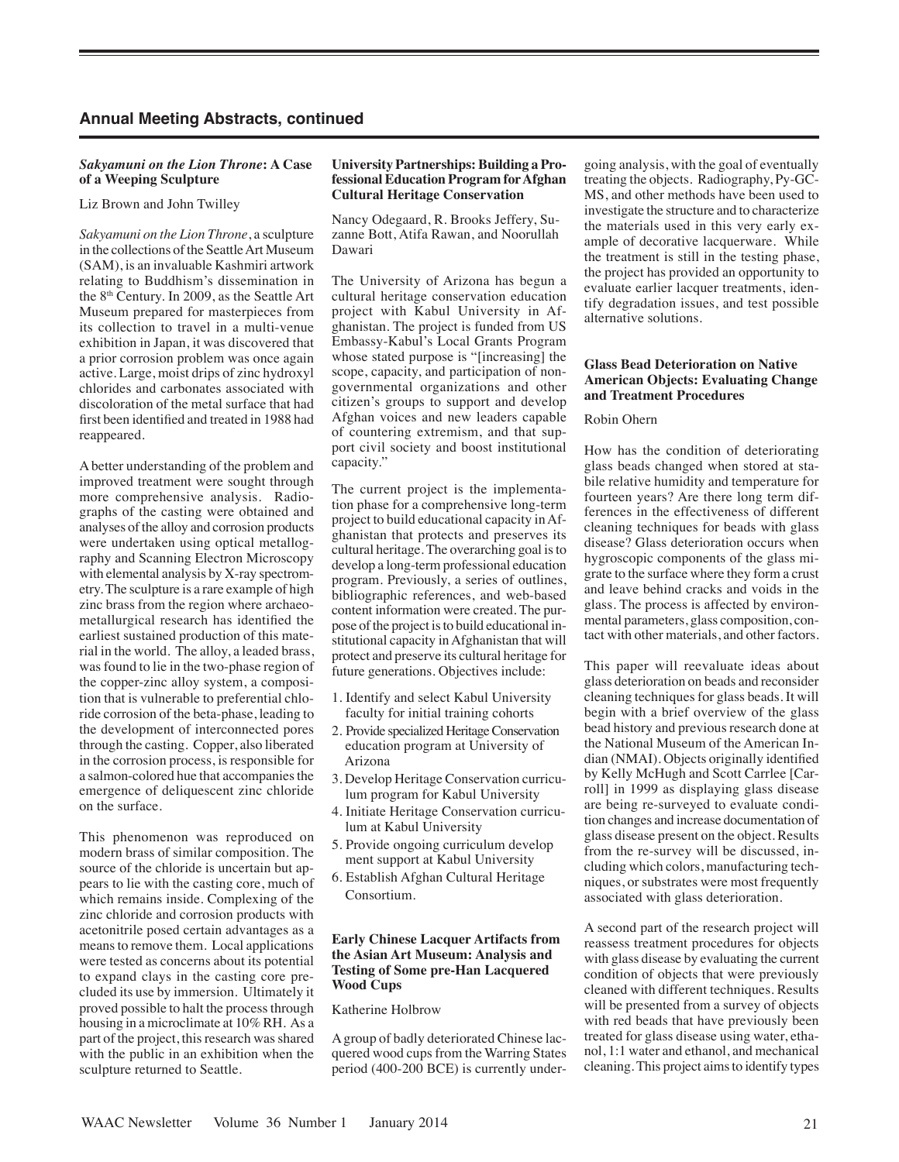#### *Sakyamuni on the Lion Throne***: A Case of a Weeping Sculpture**

Liz Brown and John Twilley

*Sakyamuni on the Lion Throne*, a sculpture in the collections of the Seattle Art Museum (SAM), is an invaluable Kashmiri artwork relating to Buddhism's dissemination in the 8<sup>th</sup> Century. In 2009, as the Seattle Art Museum prepared for masterpieces from its collection to travel in a multi-venue exhibition in Japan, it was discovered that a prior corrosion problem was once again active. Large, moist drips of zinc hydroxyl chlorides and carbonates associated with discoloration of the metal surface that had first been identified and treated in 1988 had reappeared.

A better understanding of the problem and improved treatment were sought through more comprehensive analysis. Radiographs of the casting were obtained and analyses of the alloy and corrosion products were undertaken using optical metallography and Scanning Electron Microscopy with elemental analysis by X-ray spectrometry. The sculpture is a rare example of high zinc brass from the region where archaeometallurgical research has identified the earliest sustained production of this material in the world. The alloy, a leaded brass, was found to lie in the two-phase region of the copper-zinc alloy system, a composition that is vulnerable to preferential chloride corrosion of the beta-phase, leading to the development of interconnected pores through the casting. Copper, also liberated in the corrosion process, is responsible for a salmon-colored hue that accompanies the emergence of deliquescent zinc chloride on the surface.

This phenomenon was reproduced on modern brass of similar composition. The source of the chloride is uncertain but appears to lie with the casting core, much of which remains inside. Complexing of the zinc chloride and corrosion products with acetonitrile posed certain advantages as a means to remove them. Local applications were tested as concerns about its potential to expand clays in the casting core precluded its use by immersion. Ultimately it proved possible to halt the process through housing in a microclimate at 10% RH. As a part of the project, this research was shared with the public in an exhibition when the sculpture returned to Seattle.

#### **University Partnerships: Building a Professional Education Program for Afghan Cultural Heritage Conservation**

Nancy Odegaard, R. Brooks Jeffery, Suzanne Bott, Atifa Rawan, and Noorullah Dawari

The University of Arizona has begun a cultural heritage conservation education project with Kabul University in Afghanistan. The project is funded from US Embassy-Kabul's Local Grants Program whose stated purpose is "[increasing] the scope, capacity, and participation of nongovernmental organizations and other citizen's groups to support and develop Afghan voices and new leaders capable of countering extremism, and that support civil society and boost institutional capacity."

The current project is the implementation phase for a comprehensive long-term project to build educational capacity in Afghanistan that protects and preserves its cultural heritage. The overarching goal is to develop a long-term professional education program. Previously, a series of outlines, bibliographic references, and web-based content information were created. The purpose of the project is to build educational institutional capacity in Afghanistan that will protect and preserve its cultural heritage for future generations. Objectives include:

- 1. Identify and select Kabul University faculty for initial training cohorts
- 2. Provide specialized Heritage Conservation education program at University of Arizona
- 3. Develop Heritage Conservation curricu lum program for Kabul University
- 4. Initiate Heritage Conservation curricu lum at Kabul University
- 5. Provide ongoing curriculum develop ment support at Kabul University
- 6. Establish Afghan Cultural Heritage Consortium.

#### **Early Chinese Lacquer Artifacts from the Asian Art Museum: Analysis and Testing of Some pre-Han Lacquered Wood Cups**

#### Katherine Holbrow

A group of badly deteriorated Chinese lacquered wood cups from the Warring States period (400-200 BCE) is currently undergoing analysis, with the goal of eventually treating the objects. Radiography, Py-GC-MS, and other methods have been used to investigate the structure and to characterize the materials used in this very early example of decorative lacquerware. While the treatment is still in the testing phase, the project has provided an opportunity to evaluate earlier lacquer treatments, identify degradation issues, and test possible alternative solutions.

#### **Glass Bead Deterioration on Native American Objects: Evaluating Change and Treatment Procedures**

#### Robin Ohern

How has the condition of deteriorating glass beads changed when stored at stabile relative humidity and temperature for fourteen years? Are there long term differences in the effectiveness of different cleaning techniques for beads with glass disease? Glass deterioration occurs when hygroscopic components of the glass migrate to the surface where they form a crust and leave behind cracks and voids in the glass. The process is affected by environmental parameters, glass composition, contact with other materials, and other factors.

This paper will reevaluate ideas about glass deterioration on beads and reconsider cleaning techniques for glass beads. It will begin with a brief overview of the glass bead history and previous research done at the National Museum of the American Indian (NMAI). Objects originally identified by Kelly McHugh and Scott Carrlee [Carroll] in 1999 as displaying glass disease are being re-surveyed to evaluate condition changes and increase documentation of glass disease present on the object. Results from the re-survey will be discussed, including which colors, manufacturing techniques, or substrates were most frequently associated with glass deterioration.

A second part of the research project will reassess treatment procedures for objects with glass disease by evaluating the current condition of objects that were previously cleaned with different techniques. Results will be presented from a survey of objects with red beads that have previously been treated for glass disease using water, ethanol, 1:1 water and ethanol, and mechanical cleaning. This project aims to identify types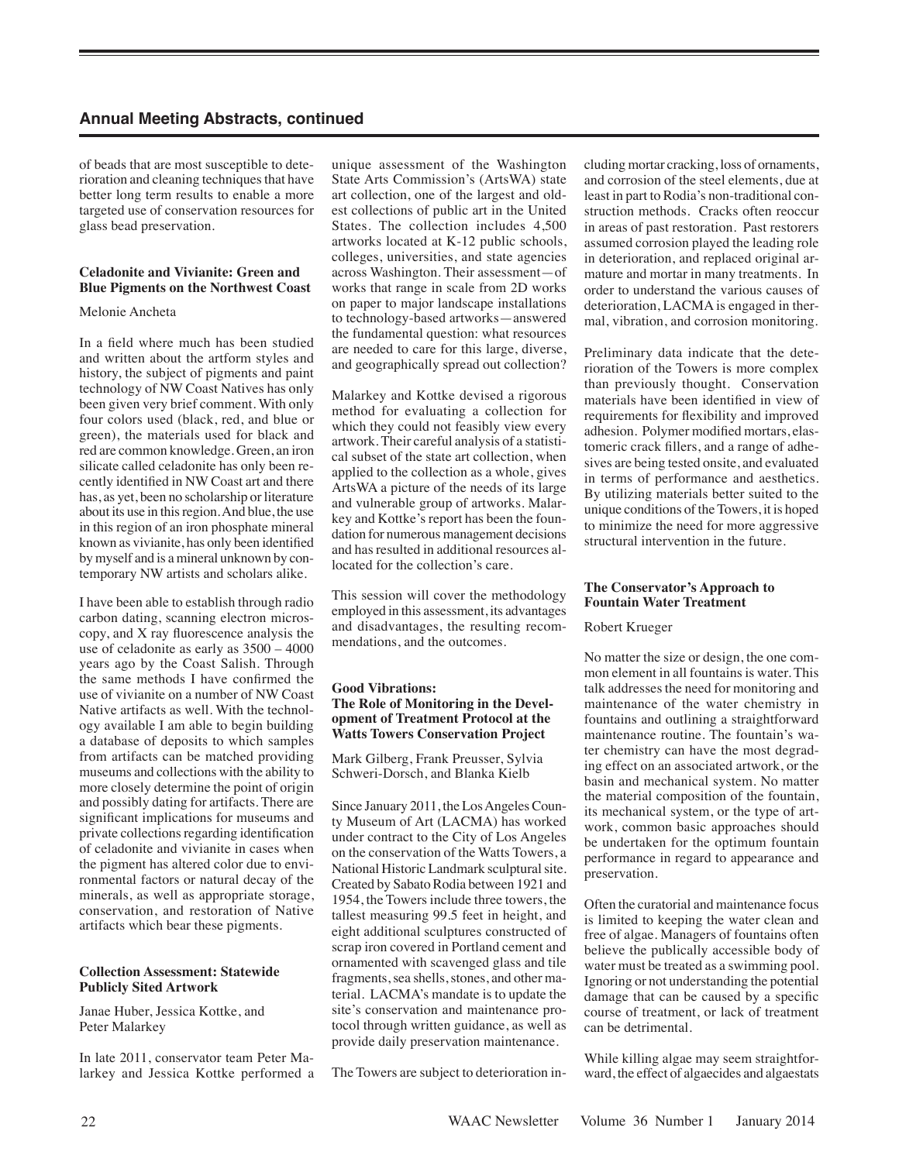of beads that are most susceptible to deterioration and cleaning techniques that have better long term results to enable a more targeted use of conservation resources for glass bead preservation.

#### **Celadonite and Vivianite: Green and Blue Pigments on the Northwest Coast**

#### Melonie Ancheta

In a field where much has been studied and written about the artform styles and history, the subject of pigments and paint technology of NW Coast Natives has only been given very brief comment. With only four colors used (black, red, and blue or green), the materials used for black and red are common knowledge. Green, an iron silicate called celadonite has only been recently identified in NW Coast art and there has, as yet, been no scholarship or literature about its use in this region. And blue, the use in this region of an iron phosphate mineral known as vivianite, has only been identified by myself and is a mineral unknown by contemporary NW artists and scholars alike.

I have been able to establish through radio carbon dating, scanning electron microscopy, and X ray fluorescence analysis the use of celadonite as early as 3500 – 4000 years ago by the Coast Salish. Through the same methods I have confirmed the use of vivianite on a number of NW Coast Native artifacts as well. With the technology available I am able to begin building a database of deposits to which samples from artifacts can be matched providing museums and collections with the ability to more closely determine the point of origin and possibly dating for artifacts. There are significant implications for museums and private collections regarding identification of celadonite and vivianite in cases when the pigment has altered color due to environmental factors or natural decay of the minerals, as well as appropriate storage, conservation, and restoration of Native artifacts which bear these pigments.

#### **Collection Assessment: Statewide Publicly Sited Artwork**

Janae Huber, Jessica Kottke, and Peter Malarkey

In late 2011, conservator team Peter Malarkey and Jessica Kottke performed a unique assessment of the Washington State Arts Commission's (ArtsWA) state art collection, one of the largest and oldest collections of public art in the United States. The collection includes 4,500 artworks located at K-12 public schools, colleges, universities, and state agencies across Washington. Their assessment—of works that range in scale from 2D works on paper to major landscape installations to technology-based artworks—answered the fundamental question: what resources are needed to care for this large, diverse, and geographically spread out collection?

Malarkey and Kottke devised a rigorous method for evaluating a collection for which they could not feasibly view every artwork. Their careful analysis of a statistical subset of the state art collection, when applied to the collection as a whole, gives ArtsWA a picture of the needs of its large and vulnerable group of artworks. Malarkey and Kottke's report has been the foundation for numerous management decisions and has resulted in additional resources allocated for the collection's care.

This session will cover the methodology employed in this assessment, its advantages and disadvantages, the resulting recommendations, and the outcomes.

#### **Good Vibrations: The Role of Monitoring in the Development of Treatment Protocol at the Watts Towers Conservation Project**

Mark Gilberg, Frank Preusser, Sylvia Schweri-Dorsch, and Blanka Kielb

Since January 2011, the Los Angeles County Museum of Art (LACMA) has worked under contract to the City of Los Angeles on the conservation of the Watts Towers, a National Historic Landmark sculptural site. Created by Sabato Rodia between 1921 and 1954, the Towers include three towers, the tallest measuring 99.5 feet in height, and eight additional sculptures constructed of scrap iron covered in Portland cement and ornamented with scavenged glass and tile fragments, sea shells, stones, and other material. LACMA's mandate is to update the site's conservation and maintenance protocol through written guidance, as well as provide daily preservation maintenance.

The Towers are subject to deterioration in-

cluding mortar cracking, loss of ornaments, and corrosion of the steel elements, due at least in part to Rodia's non-traditional construction methods. Cracks often reoccur in areas of past restoration. Past restorers assumed corrosion played the leading role in deterioration, and replaced original armature and mortar in many treatments. In order to understand the various causes of deterioration, LACMA is engaged in thermal, vibration, and corrosion monitoring.

Preliminary data indicate that the deterioration of the Towers is more complex than previously thought. Conservation materials have been identified in view of requirements for flexibility and improved adhesion. Polymer modified mortars, elastomeric crack fillers, and a range of adhesives are being tested onsite, and evaluated in terms of performance and aesthetics. By utilizing materials better suited to the unique conditions of the Towers, it is hoped to minimize the need for more aggressive structural intervention in the future.

#### **The Conservator's Approach to Fountain Water Treatment**

#### Robert Krueger

No matter the size or design, the one common element in all fountains is water. This talk addresses the need for monitoring and maintenance of the water chemistry in fountains and outlining a straightforward maintenance routine. The fountain's water chemistry can have the most degrading effect on an associated artwork, or the basin and mechanical system. No matter the material composition of the fountain, its mechanical system, or the type of artwork, common basic approaches should be undertaken for the optimum fountain performance in regard to appearance and preservation.

Often the curatorial and maintenance focus is limited to keeping the water clean and free of algae. Managers of fountains often believe the publically accessible body of water must be treated as a swimming pool. Ignoring or not understanding the potential damage that can be caused by a specific course of treatment, or lack of treatment can be detrimental.

While killing algae may seem straightforward, the effect of algaecides and algaestats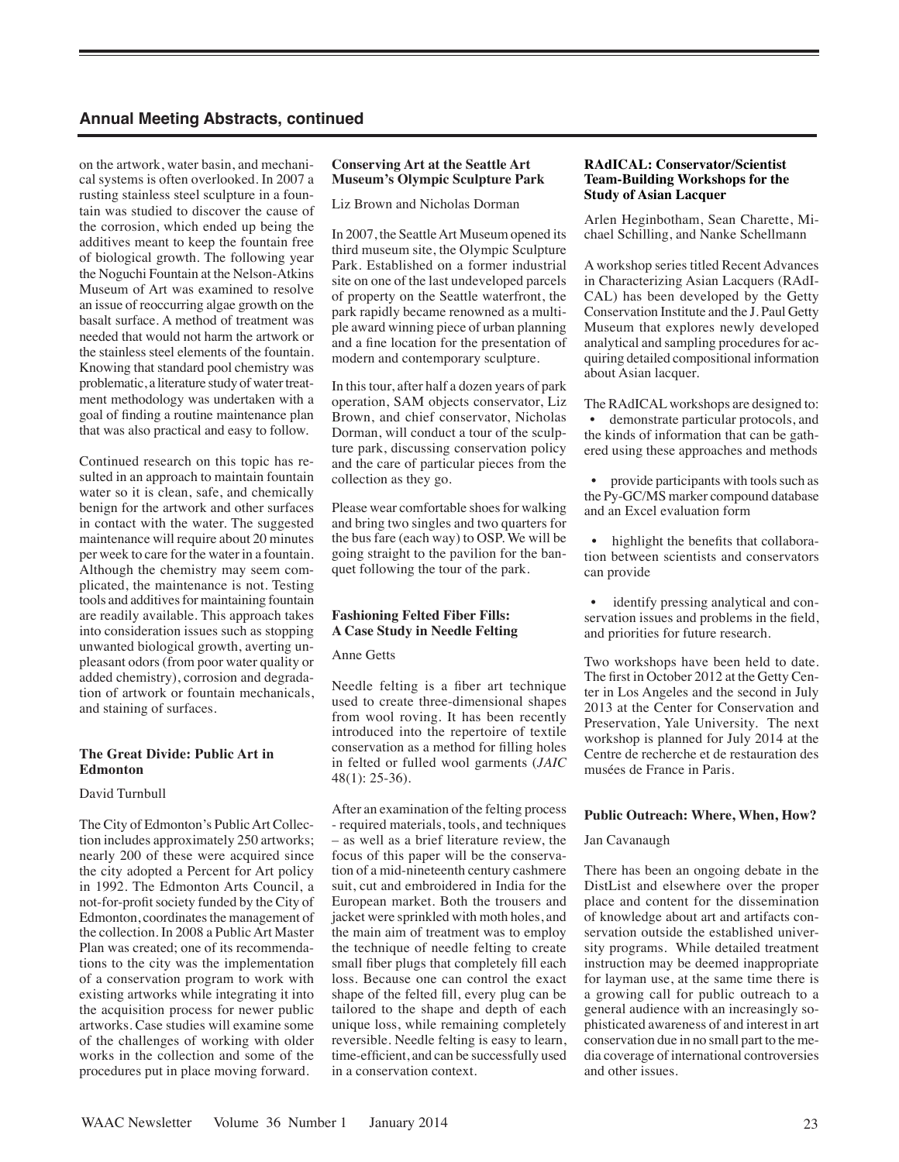on the artwork, water basin, and mechanical systems is often overlooked. In 2007 a rusting stainless steel sculpture in a fountain was studied to discover the cause of the corrosion, which ended up being the additives meant to keep the fountain free of biological growth. The following year the Noguchi Fountain at the Nelson-Atkins Museum of Art was examined to resolve an issue of reoccurring algae growth on the basalt surface. A method of treatment was needed that would not harm the artwork or the stainless steel elements of the fountain. Knowing that standard pool chemistry was problematic, a literature study of water treatment methodology was undertaken with a goal of finding a routine maintenance plan that was also practical and easy to follow.

Continued research on this topic has resulted in an approach to maintain fountain water so it is clean, safe, and chemically benign for the artwork and other surfaces in contact with the water. The suggested maintenance will require about 20 minutes per week to care for the water in a fountain. Although the chemistry may seem complicated, the maintenance is not. Testing tools and additives for maintaining fountain are readily available. This approach takes into consideration issues such as stopping unwanted biological growth, averting unpleasant odors (from poor water quality or added chemistry), corrosion and degradation of artwork or fountain mechanicals, and staining of surfaces.

#### **The Great Divide: Public Art in Edmonton**

#### David Turnbull

The City of Edmonton's Public Art Collection includes approximately 250 artworks; nearly 200 of these were acquired since the city adopted a Percent for Art policy in 1992. The Edmonton Arts Council, a not-for-profit society funded by the City of Edmonton, coordinates the management of the collection. In 2008 a Public Art Master Plan was created; one of its recommendations to the city was the implementation of a conservation program to work with existing artworks while integrating it into the acquisition process for newer public artworks. Case studies will examine some of the challenges of working with older works in the collection and some of the procedures put in place moving forward.

#### **Conserving Art at the Seattle Art Museum's Olympic Sculpture Park**

Liz Brown and Nicholas Dorman

In 2007, the Seattle Art Museum opened its third museum site, the Olympic Sculpture Park. Established on a former industrial site on one of the last undeveloped parcels of property on the Seattle waterfront, the park rapidly became renowned as a multiple award winning piece of urban planning and a fine location for the presentation of modern and contemporary sculpture.

In this tour, after half a dozen years of park operation, SAM objects conservator, Liz Brown, and chief conservator, Nicholas Dorman, will conduct a tour of the sculpture park, discussing conservation policy and the care of particular pieces from the collection as they go.

Please wear comfortable shoes for walking and bring two singles and two quarters for the bus fare (each way) to OSP. We will be going straight to the pavilion for the banquet following the tour of the park.

#### **Fashioning Felted Fiber Fills: A Case Study in Needle Felting**

Anne Getts

Needle felting is a fiber art technique used to create three-dimensional shapes from wool roving. It has been recently introduced into the repertoire of textile conservation as a method for filling holes in felted or fulled wool garments (*JAIC* 48(1): 25-36).

After an examination of the felting process - required materials, tools, and techniques – as well as a brief literature review, the focus of this paper will be the conservation of a mid-nineteenth century cashmere suit, cut and embroidered in India for the European market. Both the trousers and jacket were sprinkled with moth holes, and the main aim of treatment was to employ the technique of needle felting to create small fiber plugs that completely fill each loss. Because one can control the exact shape of the felted fill, every plug can be tailored to the shape and depth of each unique loss, while remaining completely reversible. Needle felting is easy to learn, time-efficient, and can be successfully used in a conservation context.

#### **RAdICAL: Conservator/Scientist Team-Building Workshops for the Study of Asian Lacquer**

Arlen Heginbotham, Sean Charette, Michael Schilling, and Nanke Schellmann

A workshop series titled Recent Advances in Characterizing Asian Lacquers (RAdI-CAL) has been developed by the Getty Conservation Institute and the J. Paul Getty Museum that explores newly developed analytical and sampling procedures for acquiring detailed compositional information about Asian lacquer.

The RAdICAL workshops are designed to: • demonstrate particular protocols, and the kinds of information that can be gathered using these approaches and methods

 • provide participants with tools such as the Py-GC/MS marker compound database and an Excel evaluation form

highlight the benefits that collaboration between scientists and conservators can provide

identify pressing analytical and conservation issues and problems in the field, and priorities for future research.

Two workshops have been held to date. The first in October 2012 at the Getty Center in Los Angeles and the second in July 2013 at the Center for Conservation and Preservation, Yale University. The next workshop is planned for July 2014 at the Centre de recherche et de restauration des musées de France in Paris.

#### **Public Outreach: Where, When, How?**

#### Jan Cavanaugh

There has been an ongoing debate in the DistList and elsewhere over the proper place and content for the dissemination of knowledge about art and artifacts conservation outside the established university programs. While detailed treatment instruction may be deemed inappropriate for layman use, at the same time there is a growing call for public outreach to a general audience with an increasingly sophisticated awareness of and interest in art conservation due in no small part to the media coverage of international controversies and other issues.